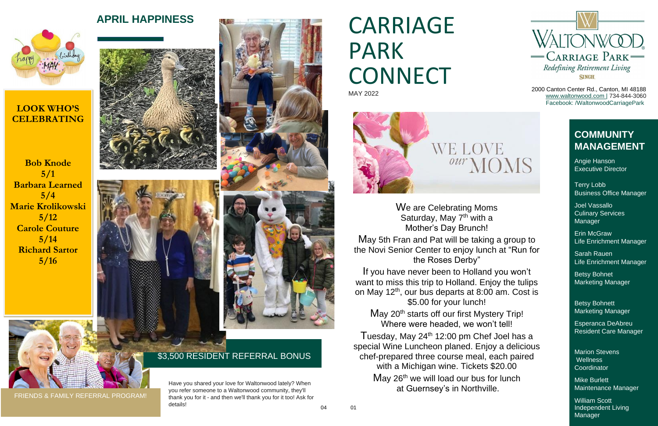# APRIL HAPPINESS **CARRIAGE** PARK CONNECT MAY 2022



2000 Canton Center Rd., Canton, MI 48188 [www.waltonwood.com |](http://www.waltonwood.com/) 734-844-3060 Facebook: /WaltonwoodCarriagePark

FRIENDS & FAMILY REFERRAL PROGRAM!



Joel Vassallo Culinary Services **Manager** 

Have you shared your love for Waltonwood lately? When you refer someone to a Waltonwood community, they'll thank you for it - and then we'll thank you for it too! Ask for details! <sup>04</sup> <sup>01</sup> Marion Stevens **Wellness Coordinator** 

#### \$3,500 RESIDENT REFERRAL BONUS

William Scott Independent Living **Manager** 

#### **COMMUNITY MANAGEMENT**

Angie Hanson Executive Director

Terry Lobb Business Office Manager

Erin McGraw Life Enrichment Manager

Sarah Rauen Life Enrichment Manager

Betsy Bohnet Marketing Manager

Betsy Bohnett Marketing Manager

Esperanca DeAbreu Resident Care Manager

May 20<sup>th</sup> starts off our first Mystery Trip! Where were headed, we won't tell! Tuesday, May  $24<sup>th</sup>$  12:00 pm Chef Joel has a special Wine Luncheon planed. Enjoy a delicious chef-prepared three course meal, each paired with a Michigan wine. Tickets \$20.00  $M$ ay 26<sup>th</sup> we will load our bus for lunch at Guernsey's in Northville.

Mike Burlett Maintenance Manager

We are Celebrating Moms Saturday, May  $7<sup>th</sup>$  with a Mother's Day Brunch! May 5th Fran and Pat will be taking a group to the Novi Senior Center to enjoy lunch at "Run for

the Roses Derby"

If you have never been to Holland you won't want to miss this trip to Holland. Enjoy the tulips on May 12<sup>th</sup>, our bus departs at 8:00 am. Cost is \$5.00 for your lunch!



#### **LOOK WHO'S CELEBRATING**

**Bob Knode 5/1 Barbara Learned 5/4 Marie Krolikowski 5/12 Carole Couture 5/14 Richard Sartor 5/16**